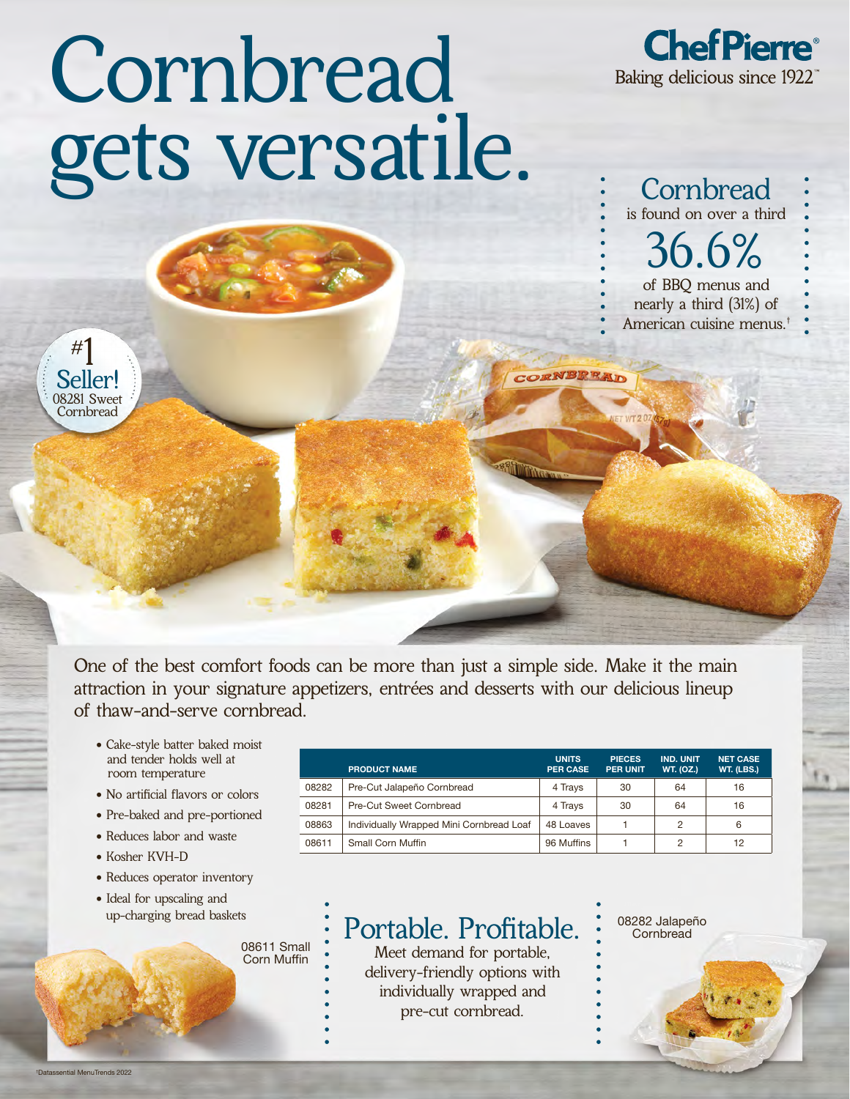## Cornbread gets versatile.



is found on over a third<br> $36.6\%$ **Cornbread** of BBQ menus and nearly a third (31%) of American cuisine menus.†



One of the best comfort foods can be more than just a simple side. Make it the main attraction in your signature appetizers, entrées and desserts with our delicious lineup of thaw-and-serve cornbread.

- Cake-style batter baked moist and tender holds well at room temperature
- No artificial flavors or colors
- Pre-baked and pre-portioned
- Reduces labor and waste
- Kosher KVH-D
- Reduces operator inventory
- Ideal for upscaling and<br>up-charging bread baskets<br> **Doutoblo Drofitoblo** 208282 Jalapeño

08611 Small Corn Muffin

PRODUCT NAME UNITS PER CASE PIECES PER UNIT IND. UNIT WT. (OZ.) NET CASE WT. (LBS.) 08282 Pre-Cut Jalapeño Cornbread 4 Trays 30 64 16 08281 Pre-Cut Sweet Cornbread 4 Trays 30 64 16 08863 | Individually Wrapped Mini Cornbread Loaf | 48 Loaves | 1 | 2 | 6 08611 Small Corn Muffin **96 Muffins** 1 2 12

**ORNBREAT** 

## Portable. Profitable.<br>Meet demand for portable,

delivery-friendly options with individually wrapped and pre-cut cornbread.

**Cornbread**